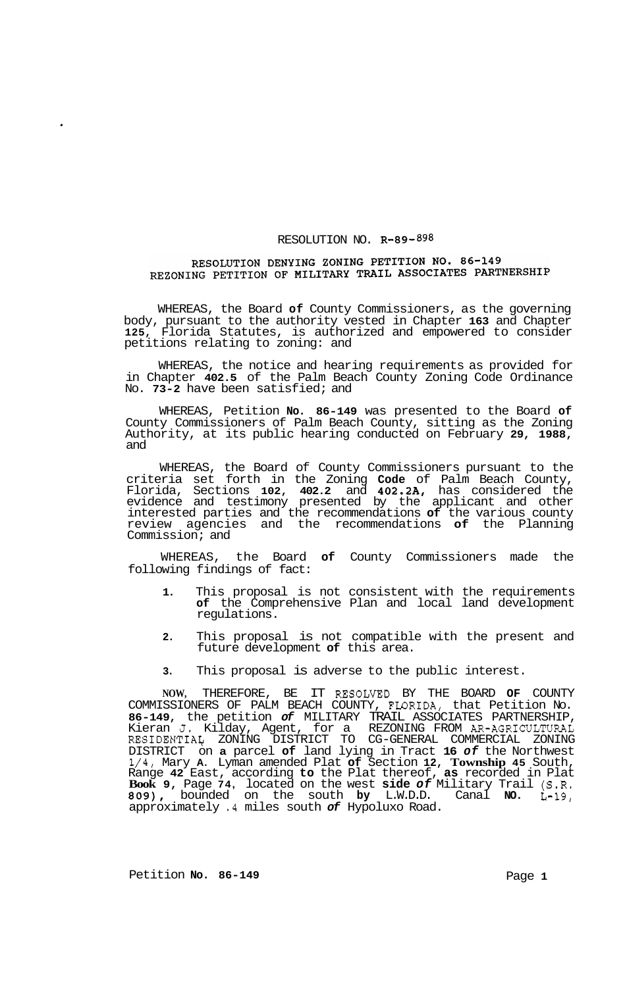## RESOLUTION NO. **R-89-898**

## RESOLUTION DENYING ZONING PETITION NO. 86-149 REZONING PETITION OF MILITARY TRAIL ASSOCIATES PARTNERSHIP

WHEREAS, the Board **of** County Commissioners, as the governing body, pursuant to the authority vested in Chapter **163** and Chapter **125,** Florida Statutes, is authorized and empowered to consider petitions relating to zoning: and

WHEREAS, the notice and hearing requirements as provided for in Chapter **402.5** of the Palm Beach County Zoning Code Ordinance No. **73-2** have been satisfied; and

WHEREAS, Petition **No. 86-149** was presented to the Board **of**  County Commissioners of Palm Beach County, sitting as the Zoning Authority, at its public hearing conducted on February **29, 1988,**  and

WHEREAS, the Board of County Commissioners pursuant to the criteria set forth in the Zoning **Code** of Palm Beach County, Florida, Sections **102, 402.2** and **402.2A,** has considered the evidence and testimony presented by the applicant and other interested parties and the recommendations **of** the various county review agencies and the recommendations **of** the Planning Commission; and

WHEREAS, the Board **of** County Commissioners made the following findings of fact:

- **1.** This proposal is not consistent with the requirements **of** the Comprehensive Plan and local land development regulations.
- **2.** This proposal is not compatible with the present and future development **of** this area.
- **3.** This proposal is adverse to the public interest.

**NOW,** THEREFORE, BE IT RESOLWD BY THE BOARD **OF** COUNTY COMMISSIONERS OF PALM BEACH COUNTY, FLORIDA, that Petition No. **86-149,** the petition *of* MILITARY TRAIL ASSOCIATES PARTNERSHIP, Kieran **J.** Kilday, Agent, for a REZONING FROM AR-AGRICULTURAL RESIDENTIAq ZONING DISTRICT TO CG-GENERAL COMMERCIAL ZONING DISTRICT on **a** parcel **of** land lying in Tract **16** *of* the Northwest **1/4,** Mary **A.** Lyman amended Plat **of** Section **12, Township 45** South, Range **42** East, according **to** the Plat thereof, **as** recorded in Plat **Book 9,** Page **74,** located on the west **side** *of* Military Trail **(S.R. 809),** bounded on the south **by** L.W.D.D. Canal **NO. L-19,**  approximately **.4** miles south *of* Hypoluxo Road.

Petition **No.** 86-149 **Page 1 Page 1**